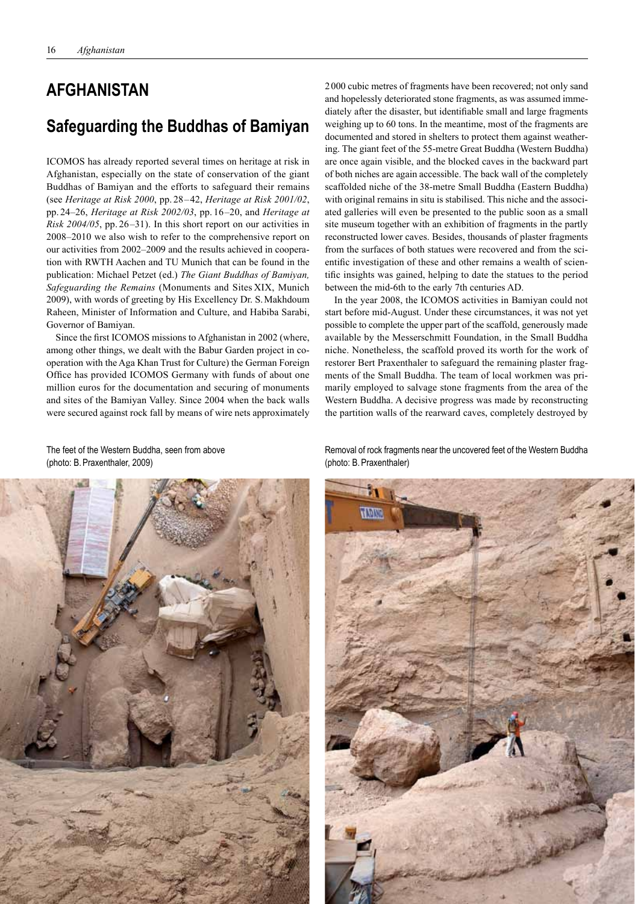## **AFGHANISTAN**

## **Safeguarding the Buddhas of Bamiyan**

ICOMOS has already reported several times on heritage at risk in Afghanistan, especially on the state of conservation of the giant Buddhas of Bamiyan and the efforts to safeguard their remains (see *Heritage at Risk 2000*, pp. 28– 42, *Heritage at Risk 2001/02*, pp. 24–26, *Heritage at Risk 2002/03*, pp. 16–20, and *Heritage at Risk 2004/05*, pp. 26 –31). In this short report on our activities in 2008–2010 we also wish to refer to the comprehensive report on our activities from 2002–2009 and the results achieved in cooperation with RWTH Aachen and TU Munich that can be found in the publication: Michael Petzet (ed.) *The Giant Buddhas of Bamiyan, Safeguarding the Remains* (Monuments and Sites XIX, Munich 2009), with words of greeting by His Excellency Dr. S.Makhdoum Raheen, Minister of Information and Culture, and Habiba Sarabi, Governor of Bamiyan.

Since the first ICOMOS missions to Afghanistan in 2002 (where, among other things, we dealt with the Babur Garden project in cooperation with the Aga Khan Trust for Culture) the German Foreign Office has provided ICOMOS Germany with funds of about one million euros for the documentation and securing of monuments and sites of the Bamiyan Valley. Since 2004 when the back walls were secured against rock fall by means of wire nets approximately

2000 cubic metres of fragments have been recovered; not only sand and hopelessly deteriorated stone fragments, as was assumed immediately after the disaster, but identifiable small and large fragments weighing up to 60 tons. In the meantime, most of the fragments are documented and stored in shelters to protect them against weathering. The giant feet of the 55-metre Great Buddha (Western Buddha) are once again visible, and the blocked caves in the backward part of both niches are again accessible. The back wall of the completely scaffolded niche of the 38-metre Small Buddha (Eastern Buddha) with original remains in situ is stabilised. This niche and the associated galleries will even be presented to the public soon as a small site museum together with an exhibition of fragments in the partly reconstructed lower caves. Besides, thousands of plaster fragments from the surfaces of both statues were recovered and from the scientific investigation of these and other remains a wealth of scientific insights was gained, helping to date the statues to the period between the mid-6th to the early 7th centuries AD.

In the year 2008, the ICOMOS activities in Bamiyan could not start before mid-August. Under these circumstances, it was not yet possible to complete the upper part of the scaffold, generously made available by the Messerschmitt Foundation, in the Small Buddha niche. Nonetheless, the scaffold proved its worth for the work of restorer Bert Praxenthaler to safeguard the remaining plaster fragments of the Small Buddha. The team of local workmen was primarily employed to salvage stone fragments from the area of the Western Buddha. A decisive progress was made by reconstructing the partition walls of the rearward caves, completely destroyed by

The feet of the Western Buddha, seen from above (photo: B.Praxenthaler, 2009)



Removal of rock fragments near the uncovered feet of the Western Buddha (photo: B.Praxenthaler)

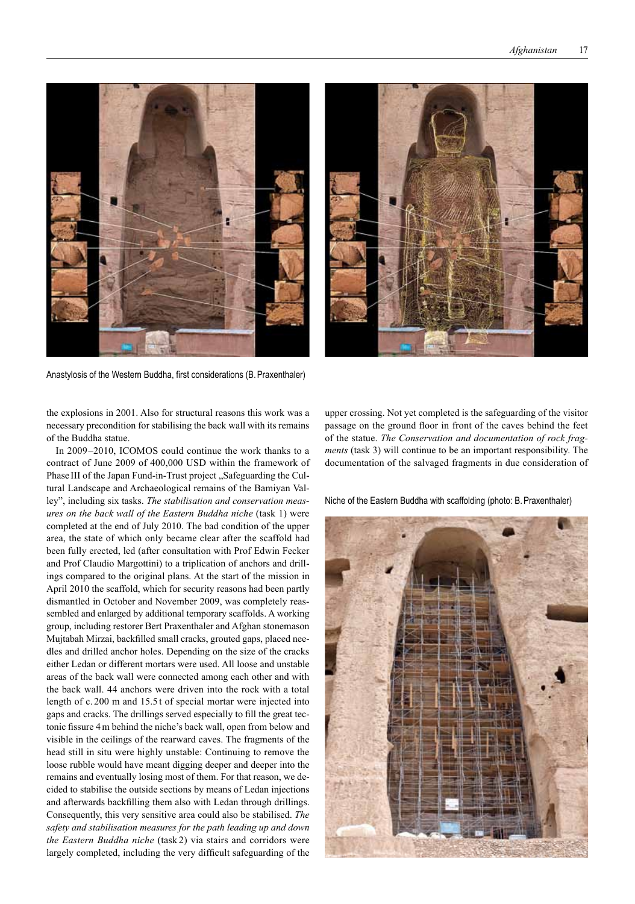

Anastylosis of the Western Buddha, first considerations (B.Praxenthaler)

the explosions in 2001. Also for structural reasons this work was a necessary precondition for stabilising the back wall with its remains of the Buddha statue.

In 2009–2010, ICOMOS could continue the work thanks to a contract of June 2009 of 400,000 USD within the framework of Phase III of the Japan Fund-in-Trust project "Safeguarding the Cultural Landscape and Archaeological remains of the Bamiyan Valley", including six tasks. *The stabilisation and conservation measures on the back wall of the Eastern Buddha niche* (task 1) were completed at the end of July 2010. The bad condition of the upper area, the state of which only became clear after the scaffold had been fully erected, led (after consultation with Prof Edwin Fecker and Prof Claudio Margottini) to a triplication of anchors and drillings compared to the original plans. At the start of the mission in April 2010 the scaffold, which for security reasons had been partly dismantled in October and November 2009, was completely reassembled and enlarged by additional temporary scaffolds. A working group, including restorer Bert Praxenthaler and Afghan stonemason Mujtabah Mirzai, backfilled small cracks, grouted gaps, placed needles and drilled anchor holes. Depending on the size of the cracks either Ledan or different mortars were used. All loose and unstable areas of the back wall were connected among each other and with the back wall. 44 anchors were driven into the rock with a total length of c. 200 m and 15.5 t of special mortar were injected into gaps and cracks. The drillings served especially to fill the great tectonic fissure 4m behind the niche's back wall, open from below and visible in the ceilings of the rearward caves. The fragments of the head still in situ were highly unstable: Continuing to remove the loose rubble would have meant digging deeper and deeper into the remains and eventually losing most of them. For that reason, we decided to stabilise the outside sections by means of Ledan injections and afterwards backfilling them also with Ledan through drillings. Consequently, this very sensitive area could also be stabilised. *The safety and stabilisation measures for the path leading up and down the Eastern Buddha niche* (task 2) via stairs and corridors were largely completed, including the very difficult safeguarding of the

upper crossing. Not yet completed is the safeguarding of the visitor passage on the ground floor in front of the caves behind the feet of the statue. *The Conservation and documentation of rock fragments* (task 3) will continue to be an important responsibility. The documentation of the salvaged fragments in due consideration of

Niche of the Eastern Buddha with scaffolding (photo: B.Praxenthaler)

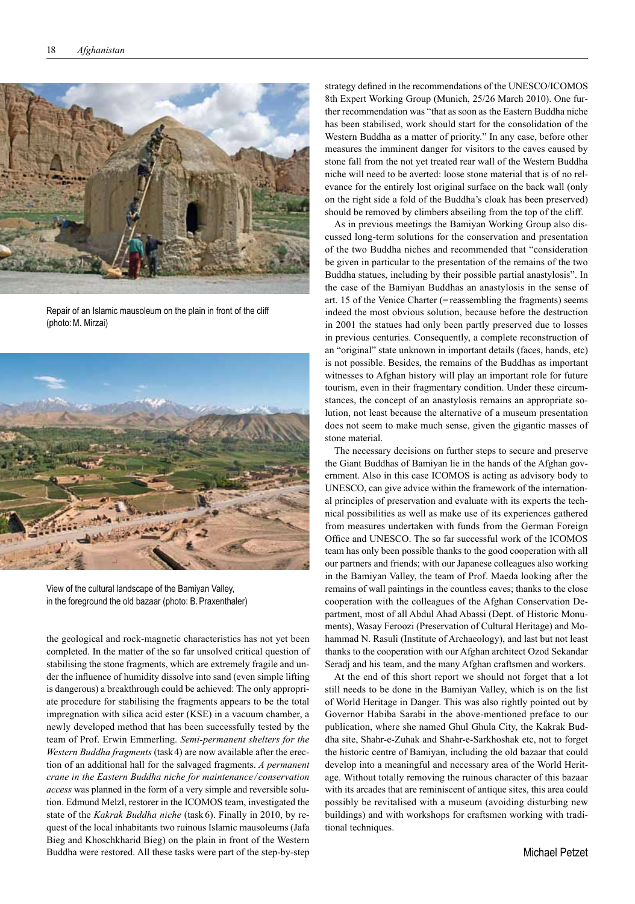

Repair of an Islamic mausoleum on the plain in front of the cliff (photo:M. Mirzai)



View of the cultural landscape of the Bamiyan Valley, in the foreground the old bazaar (photo: B. Praxenthaler)

the geological and rock-magnetic characteristics has not yet been completed. In the matter of the so far unsolved critical question of stabilising the stone fragments, which are extremely fragile and under the influence of humidity dissolve into sand (even simple lifting is dangerous) a breakthrough could be achieved: The only appropriate procedure for stabilising the fragments appears to be the total impregnation with silica acid ester (KSE) in a vacuum chamber, a newly developed method that has been successfully tested by the team of Prof. Erwin Emmerling. *Semi-permanent shelters for the Western Buddha fragments* (task 4) are now available after the erection of an additional hall for the salvaged fragments. *A permanent crane in the Eastern Buddha niche for maintenance / conservation access* was planned in the form of a very simple and reversible solution. Edmund Melzl, restorer in the ICOMOS team, investigated the state of the *Kakrak Buddha niche* (task 6). Finally in 2010, by request of the local inhabitants two ruinous Islamic mausoleums (Jafa Bieg and Khoschkharid Bieg) on the plain in front of the Western Buddha were restored. All these tasks were part of the step-by-step

strategy defined in the recommendations of the UNESCO/ICOMOS 8th Expert Working Group (Munich, 25/26 March 2010). One further recommendation was "that as soon as the Eastern Buddha niche has been stabilised, work should start for the consolidation of the Western Buddha as a matter of priority." In any case, before other measures the imminent danger for visitors to the caves caused by stone fall from the not yet treated rear wall of the Western Buddha niche will need to be averted: loose stone material that is of no relevance for the entirely lost original surface on the back wall (only on the right side a fold of the Buddha's cloak has been preserved) should be removed by climbers abseiling from the top of the cliff.

As in previous meetings the Bamiyan Working Group also discussed long-term solutions for the conservation and presentation of the two Buddha niches and recommended that "consideration be given in particular to the presentation of the remains of the two Buddha statues, including by their possible partial anastylosis". In the case of the Bamiyan Buddhas an anastylosis in the sense of art. 15 of the Venice Charter (=reassembling the fragments) seems indeed the most obvious solution, because before the destruction in 2001 the statues had only been partly preserved due to losses in previous centuries. Consequently, a complete reconstruction of an "original" state unknown in important details (faces, hands, etc) is not possible. Besides, the remains of the Buddhas as important witnesses to Afghan history will play an important role for future tourism, even in their fragmentary condition. Under these circumstances, the concept of an anastylosis remains an appropriate solution, not least because the alternative of a museum presentation does not seem to make much sense, given the gigantic masses of stone material.

The necessary decisions on further steps to secure and preserve the Giant Buddhas of Bamiyan lie in the hands of the Afghan government. Also in this case ICOMOS is acting as advisory body to UNESCO, can give advice within the framework of the international principles of preservation and evaluate with its experts the technical possibilities as well as make use of its experiences gathered from measures undertaken with funds from the German Foreign Office and UNESCO. The so far successful work of the ICOMOS team has only been possible thanks to the good cooperation with all our partners and friends; with our Japanese colleagues also working in the Bamiyan Valley, the team of Prof. Maeda looking after the remains of wall paintings in the countless caves; thanks to the close cooperation with the colleagues of the Afghan Conservation Department, most of all Abdul Ahad Abassi (Dept. of Historic Monuments), Wasay Feroozi (Preservation of Cultural Heritage) and Mohammad N. Rasuli (Institute of Archaeology), and last but not least thanks to the cooperation with our Afghan architect Ozod Sekandar Seradj and his team, and the many Afghan craftsmen and workers.

At the end of this short report we should not forget that a lot still needs to be done in the Bamiyan Valley, which is on the list of World Heritage in Danger. This was also rightly pointed out by Governor Habiba Sarabi in the above-mentioned preface to our publication, where she named Ghul Ghula City, the Kakrak Buddha site, Shahr-e-Zuhak and Shahr-e-Sarkhoshak etc, not to forget the historic centre of Bamiyan, including the old bazaar that could develop into a meaningful and necessary area of the World Heritage. Without totally removing the ruinous character of this bazaar with its arcades that are reminiscent of antique sites, this area could possibly be revitalised with a museum (avoiding disturbing new buildings) and with workshops for craftsmen working with traditional techniques.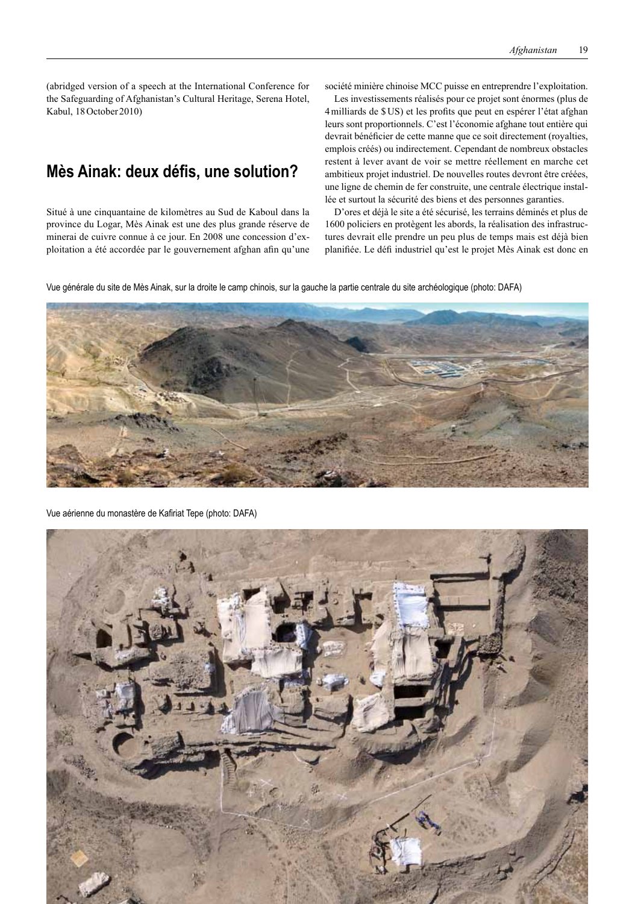(abridged version of a speech at the International Conference for the Safeguarding of Afghanistan's Cultural Heritage, Serena Hotel, Kabul, 18October 2010)

## **Mès Ainak: deux défis, une solution?**

Situé à une cinquantaine de kilomètres au Sud de Kaboul dans la province du Logar, Mès Ainak est une des plus grande réserve de minerai de cuivre connue à ce jour. En 2008 une concession d'exploitation a été accordée par le gouvernement afghan afin qu'une

société minière chinoise MCC puisse en entreprendre l'exploitation.

Les investissements réalisés pour ce projet sont énormes (plus de 4milliards de \$US) et les profits que peut en espérer l'état afghan leurs sont proportionnels. C'est l'économie afghane tout entière qui devrait bénéficier de cette manne que ce soit directement (royalties, emplois créés) ou indirectement. Cependant de nombreux obstacles restent à lever avant de voir se mettre réellement en marche cet ambitieux projet industriel. De nouvelles routes devront être créées, une ligne de chemin de fer construite, une centrale électrique installée et surtout la sécurité des biens et des personnes garanties.

D'ores et déjà le site a été sécurisé, les terrains déminés et plus de 1600 policiers en protègent les abords, la réalisation des infrastructures devrait elle prendre un peu plus de temps mais est déjà bien planifiée. Le défi industriel qu'est le projet Mès Ainak est donc en

Vue générale du site de Mès Ainak, sur la droite le camp chinois, sur la gauche la partie centrale du site archéologique (photo: DAFA)



Vue aérienne du monastère de Kafiriat Tepe (photo: DAFA)

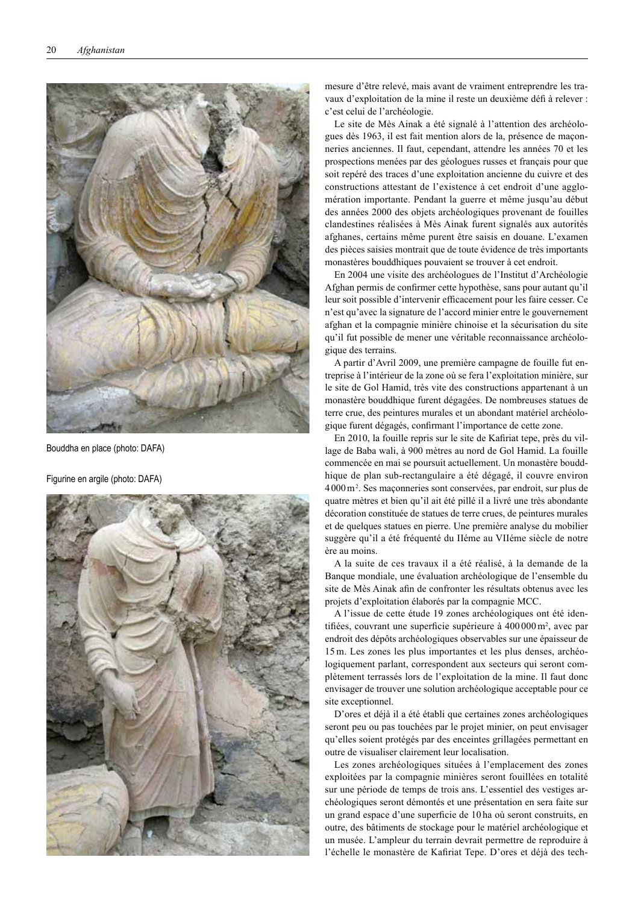

Bouddha en place (photo: DAFA)

Figurine en argile (photo: DAFA)



mesure d'être relevé, mais avant de vraiment entreprendre les tra vaux d'exploitation de la mine il reste un deuxième défi à relever : c'est celui de l'archéologie.

Le site de Mès Ainak a été signalé à l'attention des archéologues dès 1963, il est fait mention alors de la, présence de maçon neries anciennes. Il faut, cependant, attendre les années 70 et les prospections menées par des géologues russes et français pour que soit repéré des traces d'une exploitation ancienne du cuivre et des constructions attestant de l'existence à cet endroit d'une agglo mération importante. Pendant la guerre et même jusqu'au début des années 2000 des objets archéologiques provenant de fouilles clandestines réalisées à Mès Ainak furent signalés aux autorités afghanes, certains même purent être saisis en douane. L'examen des pièces saisies montrait que de toute évidence de très importants monastères bouddhiques pouvaient se trouver à cet endroit.

En 2004 une visite des archéologues de l'Institut d'Archéologie Afghan permis de confirmer cette hypothèse, sans pour autant qu'il leur soit possible d'intervenir efficacement pour les faire cesser. Ce n'est qu'avec la signature de l'accord minier entre le gouvernement afghan et la compagnie minière chinoise et la sécurisation du site qu'il fut possible de mener une véritable reconnaissance archéolo gique des terrains.

A partir d'Avril 2009, une première campagne de fouille fut en treprise à l'intérieur de la zone où se fera l'exploitation minière, sur le site de Gol Hamid, très vite des constructions appartenant à un monastère bouddhique furent dégagées. De nombreuses statues de terre crue, des peintures murales et un abondant matériel archéolo gique furent dégagés, confirmant l'importance de cette zone.

En 2010, la fouille repris sur le site de Kafiriat tepe, près du vil lage de Baba wali, à 900 mètres au nord de Gol Hamid. La fouille commencée en mai se poursuit actuellement. Un monastère boudd hique de plan sub-rectangulaire a été dégagé, il couvre environ 4000 m<sup>2</sup>. Ses maçonneries sont conservées, par endroit, sur plus de quatre mètres et bien qu'il ait été pillé il a livré une très abondante décoration constituée de statues de terre crues, de peintures murales et de quelques statues en pierre. Une première analyse du mobilier suggère qu'il a été fréquenté du IIéme au VIIéme siècle de notre ère au moins.

A la suite de ces travaux il a été réalisé, à la demande de la Banque mondiale, une évaluation archéologique de l'ensemble du site de Mès Ainak afin de confronter les résultats obtenus avec les projets d'exploitation élaborés par la compagnie MCC.

A l'issue de cette étude 19 zones archéologiques ont été iden tifiées, couvrant une superficie supérieure à 400 000 m<sup>2</sup>, avec par endroit des dépôts archéologiques observables sur une épaisseur de 15m. Les zones les plus importantes et les plus denses, archéo logiquement parlant, correspondent aux secteurs qui seront com plètement terrassés lors de l'exploitation de la mine. Il faut donc envisager de trouver une solution archéologique acceptable pour ce site exceptionnel.

D'ores et déjà il a été établi que certaines zones archéologiques seront peu ou pas touchées par le projet minier, on peut envisager qu'elles soient protégés par des enceintes grillagées permettant en outre de visualiser clairement leur localisation.

Les zones archéologiques situées à l'emplacement des zones exploitées par la compagnie minières seront fouillées en totalité sur une période de temps de trois ans. L'essentiel des vestiges ar chéologiques seront démontés et une présentation en sera faite sur un grand espace d'une superficie de 10 ha où seront construits, en outre, des bâtiments de stockage pour le matériel archéologique et un musée. L'ampleur du terrain devrait permettre de reproduire à l'échelle le monastère de Kafiriat Tepe. D'ores et déjà des tech -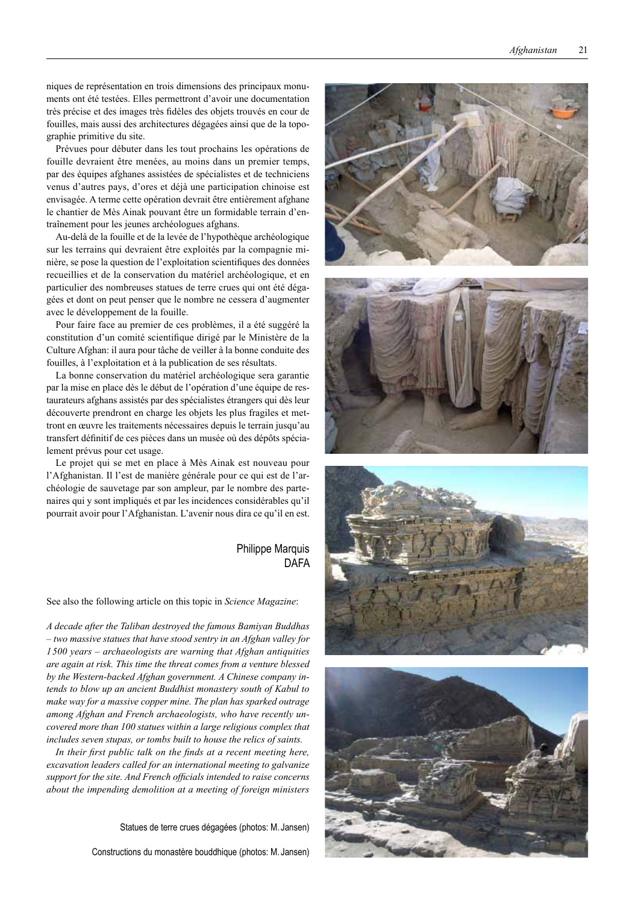niques de représentation en trois dimensions des principaux monu ments ont été testées. Elles permettront d'avoir une documentation très précise et des images très fidèles des objets trouvés en cour de fouilles, mais aussi des architectures dégagées ainsi que de la topo graphie primitive du site.

Prévues pour débuter dans les tout prochains les opérations de fouille devraient être menées, au moins dans un premier temps, par des équipes afghanes assistées de spécialistes et de techniciens venus d'autres pays, d'ores et déjà une participation chinoise est envisagée. A terme cette opération devrait être entièrement afghane le chantier de Mès Ainak pouvant être un formidable terrain d'en traînement pour les jeunes archéologues afghans.

Au-delà de la fouille et de la levée de l'hypothèque archéologique sur les terrains qui devraient être exploités par la compagnie mi nière, se pose la question de l'exploitation scientifiques des données recueillies et de la conservation du matériel archéologique, et en particulier des nombreuses statues de terre crues qui ont été déga gées et dont on peut penser que le nombre ne cessera d'augmenter avec le développement de la fouille.

Pour faire face au premier de ces problèmes, il a été suggéré la constitution d'un comité scientifique dirigé par le Ministère de la Culture Afghan: il aura pour tâche de veiller à la bonne conduite des fouilles, à l'exploitation et à la publication de ses résultats.

La bonne conservation du matériel archéologique sera garantie par la mise en place dès le début de l'opération d'une équipe de res taurateurs afghans assistés par des spécialistes étrangers qui dès leur découverte prendront en charge les objets les plus fragiles et met tront en œuvre les traitements nécessaires depuis le terrain jusqu'au transfert définitif de ces pièces dans un musée où des dépôts spécia lement prévus pour cet usage.

Le projet qui se met en place à Mès Ainak est nouveau pour l'Afghanistan. Il l'est de manière générale pour ce qui est de l'ar chéologie de sauvetage par son ampleur, par le nombre des parte naires qui y sont impliqués et par les incidences considérables qu'il pourrait avoir pour l'Afghanistan. L'avenir nous dira ce qu'il en est.

## Philippe Marquis DAFA

See also the following article on this topic in *Science Magazine*:

*A decade after the Taliban destroyed the famous Bamiyan Buddhas – two massive statues that have stood sentry in an Afghan valley for 1 500 years – archaeologists are warning that Afghan antiquities are again at risk. This time the threat comes from a venture blessed by the Western-backed Afghan government. A Chinese company in tends to blow up an ancient Buddhist monastery south of Kabul to make way for a massive copper mine. The plan has sparked outrage among Afghan and French archaeologists, who have recently un covered more than 100 statues within a large religious complex that includes seven stupas, or tombs built to house the relics of saints.*

*In their first public talk on the finds at a recent meeting here, excavation leaders called for an international meeting to galvanize support for the site. And French officials intended to raise concerns about the impending demolition at a meeting of foreign ministers* 

Statues de terre crues dégagées (photos: M. Jansen)

Constructions du monastère bouddhique (photos: M. Jansen)